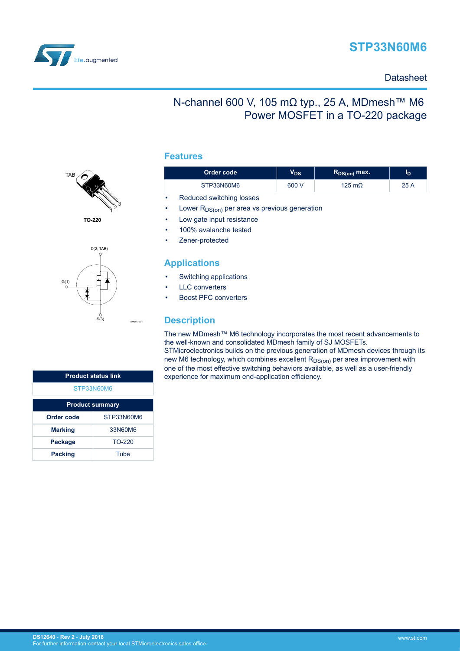

# **STP33N60M6**

### **Datasheet**

## N-channel 600 V, 105 mΩ typ., 25 A, MDmesh™ M6 Power MOSFET in a TO-220 package

#### **Features**



**TO-220**



| <b>Product status link</b> |      |  |  |  |
|----------------------------|------|--|--|--|
| STP33N60M6                 |      |  |  |  |
| <b>Product summary</b>     |      |  |  |  |
| Order code<br>STP33N60M6   |      |  |  |  |
| 33N60M6<br><b>Marking</b>  |      |  |  |  |
| TO-220<br><b>Package</b>   |      |  |  |  |
| <b>Packing</b>             | Tube |  |  |  |

| Order code |                          | V <sub>DS</sub> | $R_{DS(on)}$ max. | סי   |
|------------|--------------------------|-----------------|-------------------|------|
|            | STP33N60M6               | 600 V           | 125 m $\Omega$    | 25 A |
| $\bullet$  | Reduced switching losses |                 |                   |      |

- Lower  $R_{DS(on)}$  per area vs previous generation
- Low gate input resistance
- 100% avalanche tested
- Zener-protected

### **Applications**

- Switching applications
- **LLC** converters
- Boost PFC converters

### **Description**

The new MDmesh™ M6 technology incorporates the most recent advancements to the well-known and consolidated MDmesh family of SJ MOSFETs. STMicroelectronics builds on the previous generation of MDmesh devices through its new M6 technology, which combines excellent  $R_{DS(0n)}$  per area improvement with one of the most effective switching behaviors available, as well as a user-friendly experience for maximum end-application efficiency.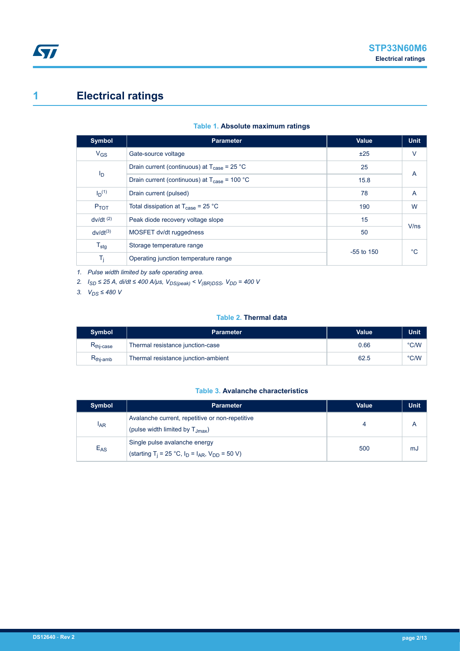# <span id="page-1-0"></span>**1 Electrical ratings**

| Table 1. Absolute maximum ratings |  |  |
|-----------------------------------|--|--|
|-----------------------------------|--|--|

| <b>Symbol</b>          | <b>Parameter</b>                                                | Value        | <b>Unit</b> |
|------------------------|-----------------------------------------------------------------|--------------|-------------|
| $V_{GS}$               | Gate-source voltage                                             | ±25          | $\vee$      |
|                        | Drain current (continuous) at $T_{\text{case}} = 25 \text{ °C}$ | 25           | A           |
| ID                     | Drain current (continuous) at $T_{\text{case}}$ = 100 °C        | 15.8         |             |
| $I_{D}^{(1)}$          | Drain current (pulsed)                                          | 78           | A           |
| $P_{TOT}$              | Total dissipation at $T_{\text{case}}$ = 25 °C                  | 190          | W           |
| $dv/dt$ <sup>(2)</sup> | Peak diode recovery voltage slope                               | 15           | V/ns        |
| $dv/dt^{(3)}$          | MOSFET dv/dt ruggedness                                         | 50           |             |
| $T_{\text{stg}}$       | Storage temperature range                                       | $-55$ to 150 | °C          |
| $T_j$                  | Operating junction temperature range                            |              |             |

*1. Pulse width limited by safe operating area.*

*2. ISD ≤ 25 A, di/dt ≤ 400 A/μs, VDS(peak) < V(BR)DSS, VDD = 400 V*

*3. VDS ≤ 480 V*

#### **Table 2. Thermal data**

| <b>Symbol</b>                           | <b>Parameter</b>                    | Value | Unit |
|-----------------------------------------|-------------------------------------|-------|------|
| $\mathsf{R}_{\mathsf{thi}\text{-case}}$ | Thermal resistance junction-case    | 0.66  | °C/W |
| $R_{\text{thj-amb}}$                    | Thermal resistance junction-ambient | 62.5  | °C/W |

#### **Table 3. Avalanche characteristics**

| <b>Symbol</b> | <b>Parameter</b>                                                                                     | <b>Value</b> | Unit |
|---------------|------------------------------------------------------------------------------------------------------|--------------|------|
| <b>IAR</b>    | Avalanche current, repetitive or non-repetitive<br>(pulse width limited by $T_{\text{Jmax}}$ )       |              |      |
| $E_{AS}$      | Single pulse avalanche energy<br>(starting T <sub>i</sub> = 25 °C, $I_D = I_{AR}$ , $V_{DD} = 50$ V) | 500          | mJ   |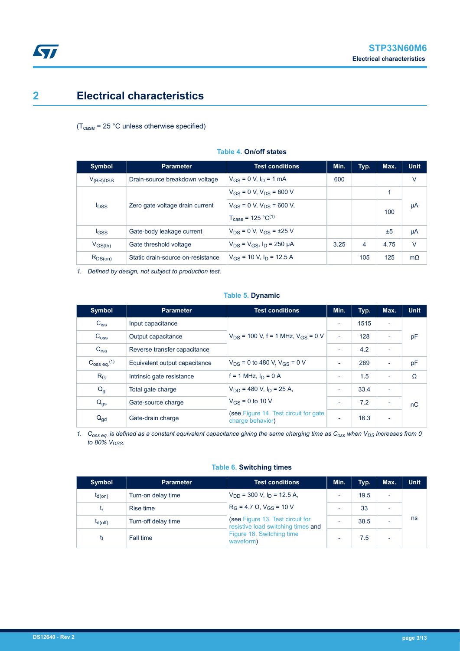## <span id="page-2-0"></span>**2 Electrical characteristics**

 $(T_{\text{case}} = 25 \text{ °C}$  unless otherwise specified)

| <b>Symbol</b>                                              | <b>Parameter</b>                  | <b>Test conditions</b>                                                        | Min. | Typ. | Max. | <b>Unit</b> |
|------------------------------------------------------------|-----------------------------------|-------------------------------------------------------------------------------|------|------|------|-------------|
| $V_{(BR)DSS}$                                              | Drain-source breakdown voltage    | $V_{GS} = 0$ V, $I_D = 1$ mA                                                  | 600  |      |      | V           |
| Zero gate voltage drain current<br><b>I</b> <sub>DSS</sub> | $V_{GS}$ = 0 V, $V_{DS}$ = 600 V  |                                                                               |      |      |      |             |
|                                                            |                                   | $V_{GS}$ = 0 V, $V_{DS}$ = 600 V,<br>$T_{\text{case}} = 125 \text{ °C}^{(1)}$ |      |      | 100  | μA          |
| <b>IGSS</b>                                                | Gate-body leakage current         | $V_{DS} = 0 V$ , $V_{GS} = \pm 25 V$                                          |      |      | ±5   | μA          |
| $V_{GS(th)}$                                               | Gate threshold voltage            | $V_{DS} = V_{GS}$ , $I_D = 250 \mu A$                                         | 3.25 | 4    | 4.75 | V           |
| $R_{DS(on)}$                                               | Static drain-source on-resistance | $V_{GS}$ = 10 V, $I_D$ = 12.5 A                                               |      | 105  | 125  | $m\Omega$   |

#### **Table 4. On/off states**

*1. Defined by design, not subject to production test.*

#### **Table 5. Dynamic**

| <b>Symbol</b>                    | <b>Parameter</b>              | <b>Test conditions</b>                                     | Min.                     | Typ. | Max.                     | <b>Unit</b> |
|----------------------------------|-------------------------------|------------------------------------------------------------|--------------------------|------|--------------------------|-------------|
| $C_{iss}$                        | Input capacitance             |                                                            |                          | 1515 | $\overline{\phantom{a}}$ |             |
| $C_{\text{OSS}}$                 | Output capacitance            | $V_{DS}$ = 100 V, f = 1 MHz, $V_{GS}$ = 0 V                | $\overline{\phantom{a}}$ | 128  | $\overline{\phantom{a}}$ | pF          |
| C <sub>rss</sub>                 | Reverse transfer capacitance  |                                                            |                          | 4.2  | $\overline{\phantom{0}}$ |             |
| $C_{\rm 0SS}$ eq. <sup>(1)</sup> | Equivalent output capacitance | $V_{DS}$ = 0 to 480 V, $V_{GS}$ = 0 V                      | ٠                        | 269  | ٠                        | pF          |
| $R_G$                            | Intrinsic gate resistance     | $f = 1$ MHz, $I_D = 0$ A                                   | ٠                        | 1.5  |                          | Ω           |
| Q <sub>g</sub>                   | Total gate charge             | $V_{DD}$ = 480 V, $I_D$ = 25 A,                            | $\overline{\phantom{0}}$ | 33.4 | $\overline{\phantom{0}}$ |             |
| $Q_{\text{gs}}$                  | Gate-source charge            | $V_{GS}$ = 0 to 10 V                                       | ٠                        | 7.2  |                          | nC          |
| $Q_{gd}$                         | Gate-drain charge             | (see Figure 14. Test circuit for gate)<br>charge behavior) |                          | 16.3 |                          |             |

*1. Coss eq. is defined as a constant equivalent capacitance giving the same charging time as Coss when VDS increases from 0 to 80% VDSS.*

| <b>Symbol</b> | <b>Parameter</b>    | <b>Test conditions</b>                                                                                                                                                                        | Min.                     | Typ. | Max. | Unit |
|---------------|---------------------|-----------------------------------------------------------------------------------------------------------------------------------------------------------------------------------------------|--------------------------|------|------|------|
| $t_{d(on)}$   | Turn-on delay time  | $V_{DD}$ = 300 V, $I_D$ = 12.5 A,<br>$R_G = 4.7 \Omega$ , $V_{GS} = 10 V$<br>(see Figure 13. Test circuit for<br>resistive load switching times and<br>Figure 18. Switching time<br>waveform) |                          | 19.5 |      |      |
| t,            | <b>Rise time</b>    |                                                                                                                                                                                               |                          | 33   |      |      |
| $t_{d(off)}$  | Turn-off delay time |                                                                                                                                                                                               | $\overline{\phantom{0}}$ | 38.5 |      | ns   |
|               | Fall time           |                                                                                                                                                                                               | -                        | 7.5  |      |      |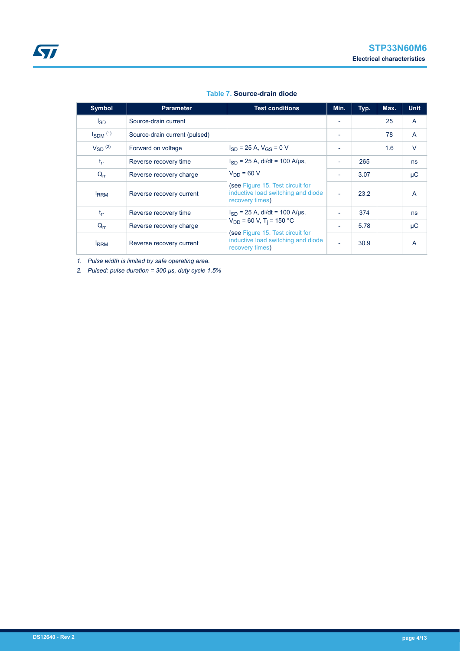|  |  | Table 7. Source-drain diode |
|--|--|-----------------------------|
|--|--|-----------------------------|

| <b>Symbol</b>            | <b>Parameter</b>              | <b>Test conditions</b>                                                                                                                | Min.                     | Typ. | Max. | <b>Unit</b>  |
|--------------------------|-------------------------------|---------------------------------------------------------------------------------------------------------------------------------------|--------------------------|------|------|--------------|
| l <sub>SD</sub>          | Source-drain current          |                                                                                                                                       |                          |      | 25   | $\mathsf{A}$ |
| $I_{SDM}$ <sup>(1)</sup> | Source-drain current (pulsed) |                                                                                                                                       |                          |      | 78   | $\mathsf{A}$ |
| $V_{SD}$ (2)             | Forward on voltage            | $I_{SD}$ = 25 A, $V_{GS}$ = 0 V                                                                                                       |                          |      | 1.6  | $\vee$       |
| $t_{rr}$                 | Reverse recovery time         | $I_{SD}$ = 25 A, di/dt = 100 A/µs,                                                                                                    |                          | 265  |      | ns           |
| $Q_{rr}$                 | Reverse recovery charge       | $V_{DD} = 60 V$                                                                                                                       | $\blacksquare$           | 3.07 |      | μC           |
| <b>IRRM</b>              | Reverse recovery current      | (see Figure 15. Test circuit for<br>inductive load switching and diode<br>recovery times)                                             | $\overline{\phantom{a}}$ | 23.2 |      | A            |
| $t_{rr}$                 | Reverse recovery time         | $I_{SD}$ = 25 A, di/dt = 100 A/µs,                                                                                                    |                          | 374  |      | ns           |
| $Q_{rr}$                 | Reverse recovery charge       | $V_{DD}$ = 60 V, T <sub>i</sub> = 150 °C<br>(see Figure 15. Test circuit for<br>inductive load switching and diode<br>recovery times) | ٠                        | 5.78 |      | $\mu$ C      |
| <b>IRRM</b>              | Reverse recovery current      |                                                                                                                                       |                          | 30.9 |      | A            |

*1. Pulse width is limited by safe operating area.*

*2. Pulsed: pulse duration = 300 µs, duty cycle 1.5%*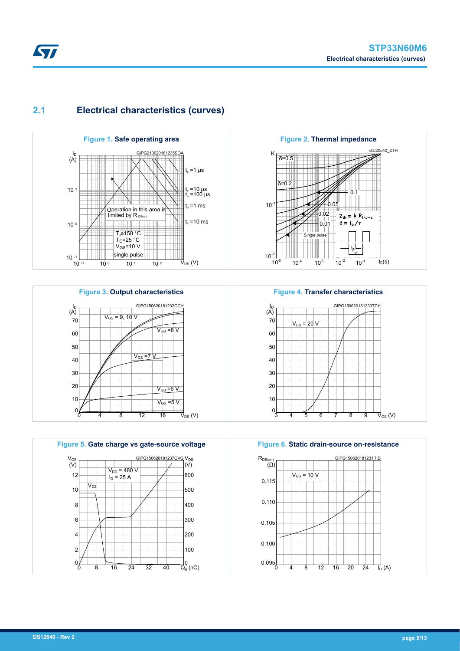GC20540\_ZTH

### <span id="page-4-0"></span>**2.1 Electrical characteristics (curves)**







**Figure 6. Static drain-source on-resistance**

3 4 5 6 7 8 9

Single pulse

TTT

**Figure 4. Transfer characteristics**

 $\overline{V_{DS}}$  = 20  $\overline{V}$ 

I<sub>D</sub><br>(A)

0.05 0.02 0.01

 $\Omega$ 

 $Z_{th} = k R_{thJ-c}$  $\delta = \frac{1}{2} \int_T$ 

GIPG150620181233TCH

 $\bar{V}_{\text{GS}}\left(V\right)$ 

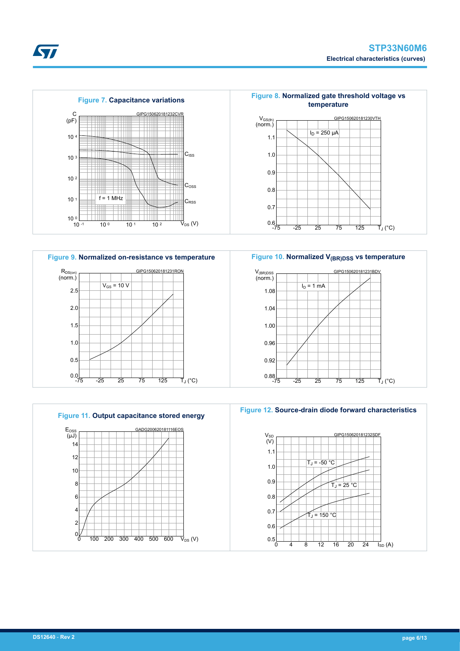





**Figure 10. Normalized V(BR)DSS vs temperature**







*EAL*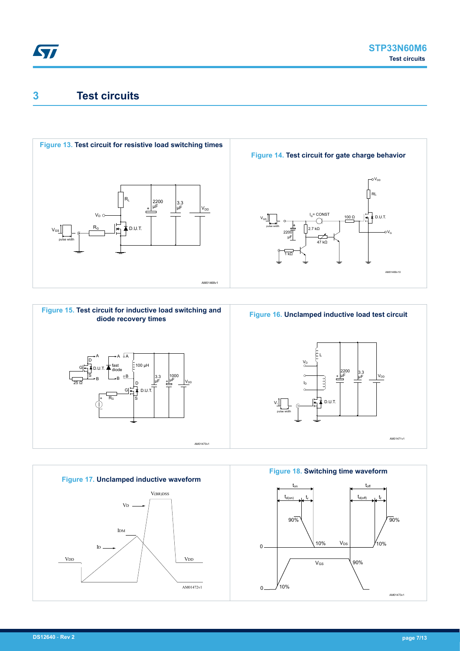## <span id="page-6-0"></span>**3 Test circuits**









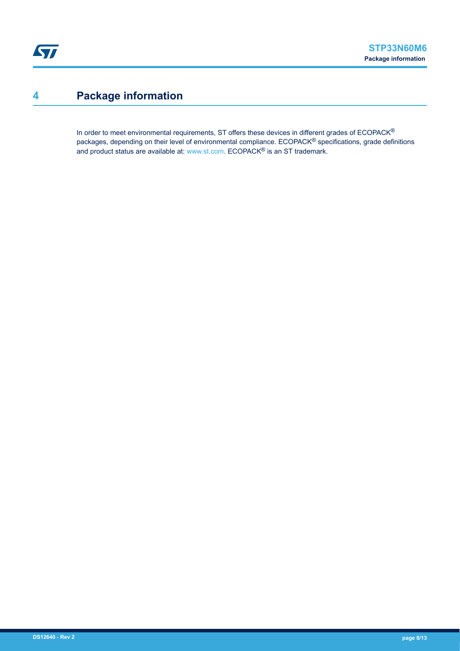# <span id="page-7-0"></span>**4 Package information**

In order to meet environmental requirements, ST offers these devices in different grades of ECOPACK® packages, depending on their level of environmental compliance. ECOPACK® specifications, grade definitions and product status are available at: [www.st.com.](http://www.st.com) ECOPACK® is an ST trademark.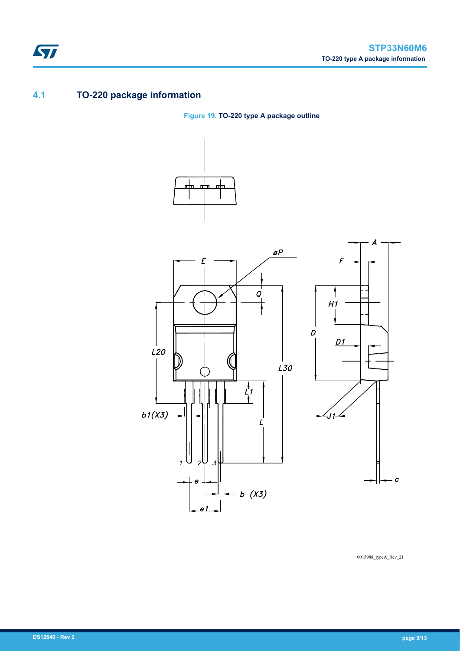### **4.1 TO-220 package information**

ST

**Figure 19. TO-220 type A package outline**





0015988\_typeA\_Rev\_21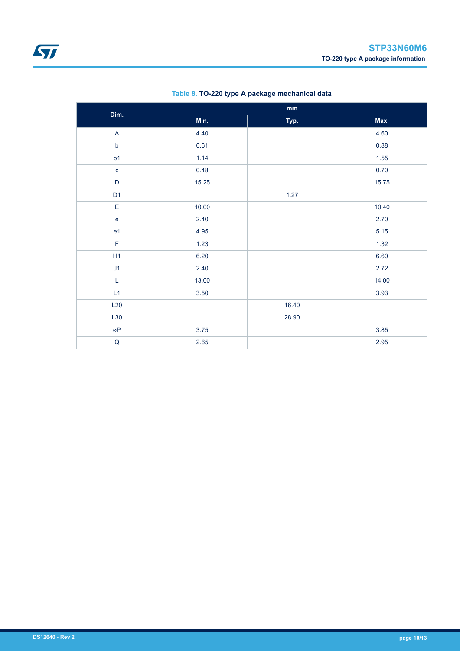| Dim.           | $\mathbf{mm}$ |       |       |  |
|----------------|---------------|-------|-------|--|
|                | Min.          | Typ.  | Max.  |  |
| $\mathsf{A}$   | 4.40          |       | 4.60  |  |
| $\mathsf b$    | 0.61          |       | 0.88  |  |
| b1             | 1.14          |       | 1.55  |  |
| $\mathbf{c}$   | 0.48          |       | 0.70  |  |
| D              | 15.25         |       | 15.75 |  |
| D <sub>1</sub> |               | 1.27  |       |  |
| E              | 10.00         |       | 10.40 |  |
| $\mathbf{e}$   | 2.40          |       | 2.70  |  |
| e <sub>1</sub> | 4.95          |       | 5.15  |  |
| $\mathsf F$    | 1.23          |       | 1.32  |  |
| H1             | 6.20          |       | 6.60  |  |
| J1             | 2.40          |       | 2.72  |  |
| $\mathsf L$    | 13.00         |       | 14.00 |  |
| L1             | 3.50          |       | 3.93  |  |
| L20            |               | 16.40 |       |  |
| L30            |               | 28.90 |       |  |
| øP             | 3.75          |       | 3.85  |  |
| $\sf Q$        | 2.65          |       | 2.95  |  |

#### **Table 8. TO-220 type A package mechanical data**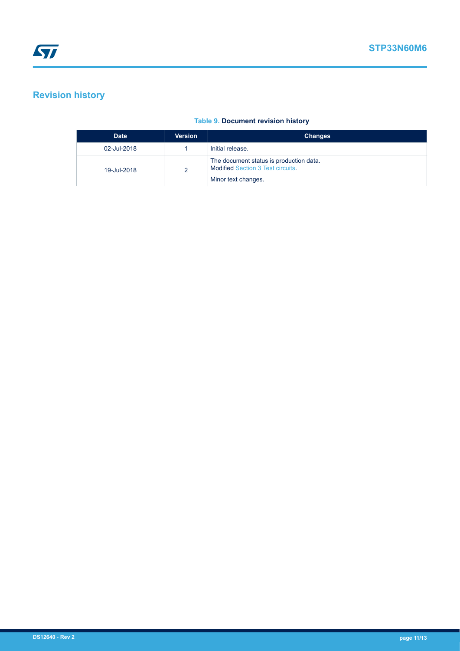## <span id="page-10-0"></span>**Revision history**

#### **Table 9. Document revision history**

| <b>Date</b> | <b>Version</b> | <b>Changes</b>                                                                                             |
|-------------|----------------|------------------------------------------------------------------------------------------------------------|
| 02-Jul-2018 |                | Initial release.                                                                                           |
| 19-Jul-2018 | റ              | The document status is production data.<br><b>Modified Section 3 Test circuits.</b><br>Minor text changes. |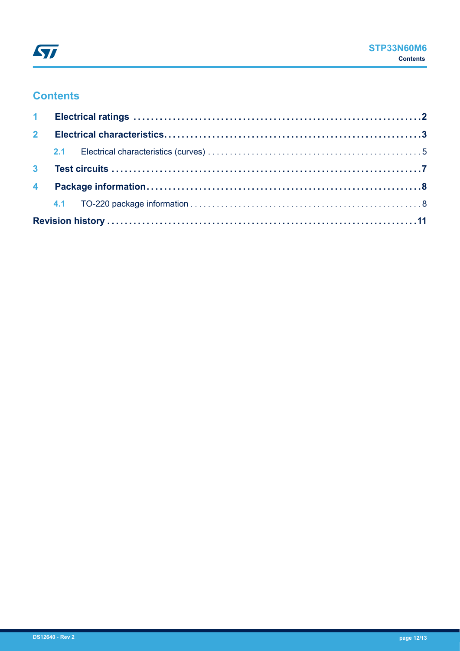## **Contents**